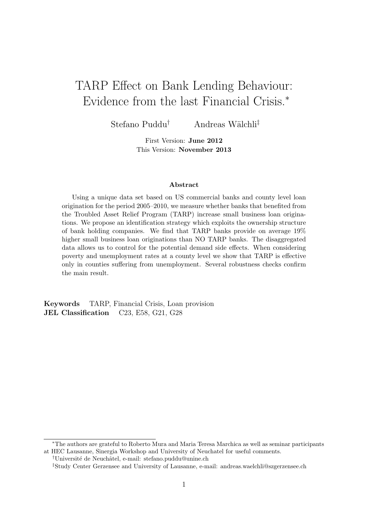## TARP Effect on Bank Lending Behaviour: Evidence from the last Financial Crisis.<sup>∗</sup>

Stefano Puddu<sup>†</sup> Andreas Wälchli<sup>‡</sup>

First Version: June 2012 This Version: November 2013

#### Abstract

Using a unique data set based on US commercial banks and county level loan origination for the period 2005–2010, we measure whether banks that benefited from the Troubled Asset Relief Program (TARP) increase small business loan originations. We propose an identification strategy which exploits the ownership structure of bank holding companies. We find that TARP banks provide on average 19% higher small business loan originations than NO TARP banks. The disaggregated data allows us to control for the potential demand side effects. When considering poverty and unemployment rates at a county level we show that TARP is effective only in counties suffering from unemployment. Several robustness checks confirm the main result.

Keywords TARP, Financial Crisis, Loan provision JEL Classification C23, E58, G21, G28

<sup>∗</sup>The authors are grateful to Roberto Mura and Maria Teresa Marchica as well as seminar participants at HEC Lausanne, Sinergia Workshop and University of Neuchatel for useful comments.

<sup>&</sup>lt;sup>†</sup>Université de Neuchâtel, e-mail: stefano.puddu@unine.ch

<sup>‡</sup>Study Center Gerzensee and University of Lausanne, e-mail: andreas.waelchli@szgerzensee.ch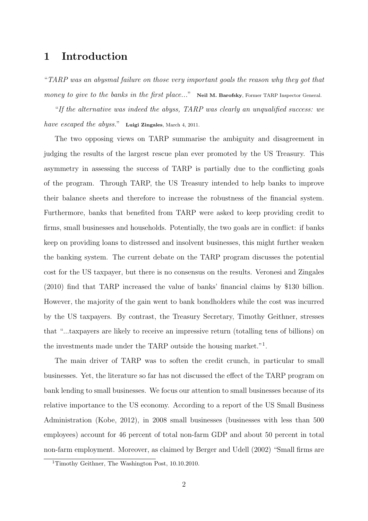### 1 Introduction

"TARP was an abysmal failure on those very important goals the reason why they got that money to give to the banks in the first place..." Neil M. Barofsky, Former TARP Inspector General.

"If the alternative was indeed the abyss, TARP was clearly an unqualified success: we have escaped the abyss." Luigi Zingales, March 4, 2011.

The two opposing views on TARP summarise the ambiguity and disagreement in judging the results of the largest rescue plan ever promoted by the US Treasury. This asymmetry in assessing the success of TARP is partially due to the conflicting goals of the program. Through TARP, the US Treasury intended to help banks to improve their balance sheets and therefore to increase the robustness of the financial system. Furthermore, banks that benefited from TARP were asked to keep providing credit to firms, small businesses and households. Potentially, the two goals are in conflict: if banks keep on providing loans to distressed and insolvent businesses, this might further weaken the banking system. The current debate on the TARP program discusses the potential cost for the US taxpayer, but there is no consensus on the results. Veronesi and Zingales (2010) find that TARP increased the value of banks' financial claims by \$130 billion. However, the majority of the gain went to bank bondholders while the cost was incurred by the US taxpayers. By contrast, the Treasury Secretary, Timothy Geithner, stresses that "...taxpayers are likely to receive an impressive return (totalling tens of billions) on the investments made under the TARP outside the housing market."<sup>1</sup> .

The main driver of TARP was to soften the credit crunch, in particular to small businesses. Yet, the literature so far has not discussed the effect of the TARP program on bank lending to small businesses. We focus our attention to small businesses because of its relative importance to the US economy. According to a report of the US Small Business Administration (Kobe, 2012), in 2008 small businesses (businesses with less than 500 employees) account for 46 percent of total non-farm GDP and about 50 percent in total non-farm employment. Moreover, as claimed by Berger and Udell (2002) "Small firms are

<sup>1</sup>Timothy Geithner, The Washington Post, 10.10.2010.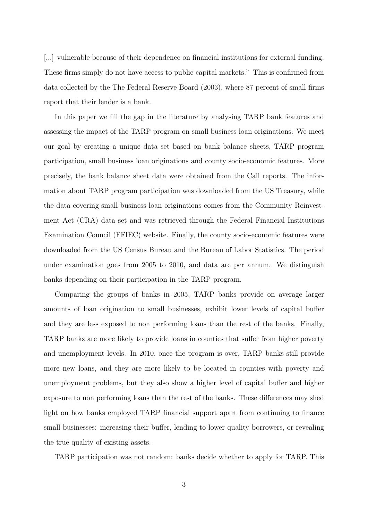[...] vulnerable because of their dependence on financial institutions for external funding. These firms simply do not have access to public capital markets." This is confirmed from data collected by the The Federal Reserve Board (2003), where 87 percent of small firms report that their lender is a bank.

In this paper we fill the gap in the literature by analysing TARP bank features and assessing the impact of the TARP program on small business loan originations. We meet our goal by creating a unique data set based on bank balance sheets, TARP program participation, small business loan originations and county socio-economic features. More precisely, the bank balance sheet data were obtained from the Call reports. The information about TARP program participation was downloaded from the US Treasury, while the data covering small business loan originations comes from the Community Reinvestment Act (CRA) data set and was retrieved through the Federal Financial Institutions Examination Council (FFIEC) website. Finally, the county socio-economic features were downloaded from the US Census Bureau and the Bureau of Labor Statistics. The period under examination goes from 2005 to 2010, and data are per annum. We distinguish banks depending on their participation in the TARP program.

Comparing the groups of banks in 2005, TARP banks provide on average larger amounts of loan origination to small businesses, exhibit lower levels of capital buffer and they are less exposed to non performing loans than the rest of the banks. Finally, TARP banks are more likely to provide loans in counties that suffer from higher poverty and unemployment levels. In 2010, once the program is over, TARP banks still provide more new loans, and they are more likely to be located in counties with poverty and unemployment problems, but they also show a higher level of capital buffer and higher exposure to non performing loans than the rest of the banks. These differences may shed light on how banks employed TARP financial support apart from continuing to finance small businesses: increasing their buffer, lending to lower quality borrowers, or revealing the true quality of existing assets.

TARP participation was not random: banks decide whether to apply for TARP. This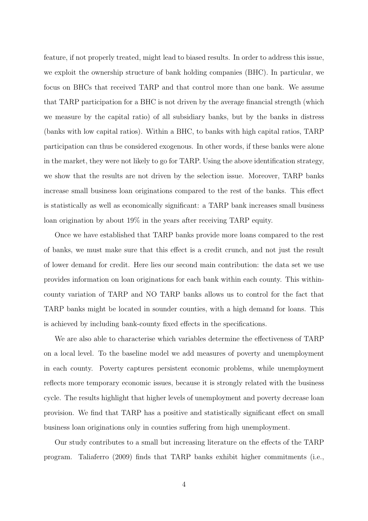feature, if not properly treated, might lead to biased results. In order to address this issue, we exploit the ownership structure of bank holding companies (BHC). In particular, we focus on BHCs that received TARP and that control more than one bank. We assume that TARP participation for a BHC is not driven by the average financial strength (which we measure by the capital ratio) of all subsidiary banks, but by the banks in distress (banks with low capital ratios). Within a BHC, to banks with high capital ratios, TARP participation can thus be considered exogenous. In other words, if these banks were alone in the market, they were not likely to go for TARP. Using the above identification strategy, we show that the results are not driven by the selection issue. Moreover, TARP banks increase small business loan originations compared to the rest of the banks. This effect is statistically as well as economically significant: a TARP bank increases small business loan origination by about 19% in the years after receiving TARP equity.

Once we have established that TARP banks provide more loans compared to the rest of banks, we must make sure that this effect is a credit crunch, and not just the result of lower demand for credit. Here lies our second main contribution: the data set we use provides information on loan originations for each bank within each county. This withincounty variation of TARP and NO TARP banks allows us to control for the fact that TARP banks might be located in sounder counties, with a high demand for loans. This is achieved by including bank-county fixed effects in the specifications.

We are also able to characterise which variables determine the effectiveness of TARP on a local level. To the baseline model we add measures of poverty and unemployment in each county. Poverty captures persistent economic problems, while unemployment reflects more temporary economic issues, because it is strongly related with the business cycle. The results highlight that higher levels of unemployment and poverty decrease loan provision. We find that TARP has a positive and statistically significant effect on small business loan originations only in counties suffering from high unemployment.

Our study contributes to a small but increasing literature on the effects of the TARP program. Taliaferro (2009) finds that TARP banks exhibit higher commitments (i.e.,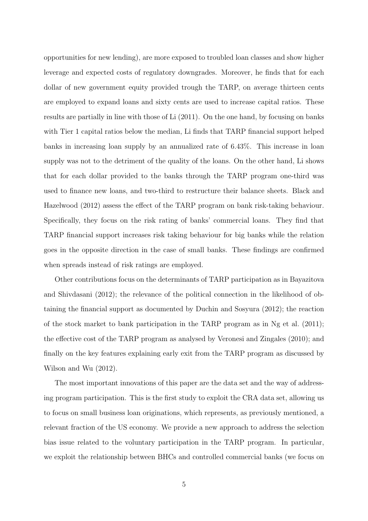opportunities for new lending), are more exposed to troubled loan classes and show higher leverage and expected costs of regulatory downgrades. Moreover, he finds that for each dollar of new government equity provided trough the TARP, on average thirteen cents are employed to expand loans and sixty cents are used to increase capital ratios. These results are partially in line with those of Li (2011). On the one hand, by focusing on banks with Tier 1 capital ratios below the median, Li finds that TARP financial support helped banks in increasing loan supply by an annualized rate of 6.43%. This increase in loan supply was not to the detriment of the quality of the loans. On the other hand, Li shows that for each dollar provided to the banks through the TARP program one-third was used to finance new loans, and two-third to restructure their balance sheets. Black and Hazelwood (2012) assess the effect of the TARP program on bank risk-taking behaviour. Specifically, they focus on the risk rating of banks' commercial loans. They find that TARP financial support increases risk taking behaviour for big banks while the relation goes in the opposite direction in the case of small banks. These findings are confirmed when spreads instead of risk ratings are employed.

Other contributions focus on the determinants of TARP participation as in Bayazitova and Shivdasani (2012); the relevance of the political connection in the likelihood of obtaining the financial support as documented by Duchin and Sosyura (2012); the reaction of the stock market to bank participation in the TARP program as in Ng et al. (2011); the effective cost of the TARP program as analysed by Veronesi and Zingales (2010); and finally on the key features explaining early exit from the TARP program as discussed by Wilson and Wu (2012).

The most important innovations of this paper are the data set and the way of addressing program participation. This is the first study to exploit the CRA data set, allowing us to focus on small business loan originations, which represents, as previously mentioned, a relevant fraction of the US economy. We provide a new approach to address the selection bias issue related to the voluntary participation in the TARP program. In particular, we exploit the relationship between BHCs and controlled commercial banks (we focus on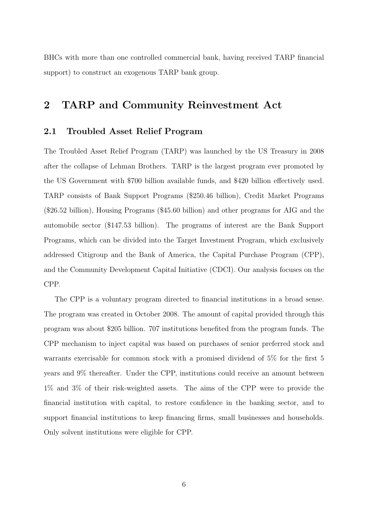BHCs with more than one controlled commercial bank, having received TARP financial support) to construct an exogenous TARP bank group.

### 2 TARP and Community Reinvestment Act

### 2.1 Troubled Asset Relief Program

The Troubled Asset Relief Program (TARP) was launched by the US Treasury in 2008 after the collapse of Lehman Brothers. TARP is the largest program ever promoted by the US Government with \$700 billion available funds, and \$420 billion effectively used. TARP consists of Bank Support Programs (\$250.46 billion), Credit Market Programs (\$26.52 billion), Housing Programs (\$45.60 billion) and other programs for AIG and the automobile sector (\$147.53 billion). The programs of interest are the Bank Support Programs, which can be divided into the Target Investment Program, which exclusively addressed Citigroup and the Bank of America, the Capital Purchase Program (CPP), and the Community Development Capital Initiative (CDCI). Our analysis focuses on the CPP.

The CPP is a voluntary program directed to financial institutions in a broad sense. The program was created in October 2008. The amount of capital provided through this program was about \$205 billion. 707 institutions benefited from the program funds. The CPP mechanism to inject capital was based on purchases of senior preferred stock and warrants exercisable for common stock with a promised dividend of 5% for the first 5 years and 9% thereafter. Under the CPP, institutions could receive an amount between 1% and 3% of their risk-weighted assets. The aims of the CPP were to provide the financial institution with capital, to restore confidence in the banking sector, and to support financial institutions to keep financing firms, small businesses and households. Only solvent institutions were eligible for CPP.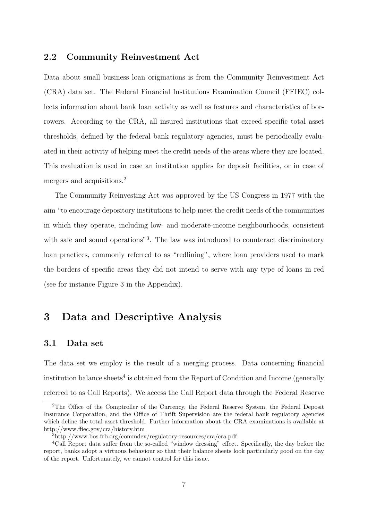#### 2.2 Community Reinvestment Act

Data about small business loan originations is from the Community Reinvestment Act (CRA) data set. The Federal Financial Institutions Examination Council (FFIEC) collects information about bank loan activity as well as features and characteristics of borrowers. According to the CRA, all insured institutions that exceed specific total asset thresholds, defined by the federal bank regulatory agencies, must be periodically evaluated in their activity of helping meet the credit needs of the areas where they are located. This evaluation is used in case an institution applies for deposit facilities, or in case of mergers and acquisitions.<sup>2</sup>

The Community Reinvesting Act was approved by the US Congress in 1977 with the aim "to encourage depository institutions to help meet the credit needs of the communities in which they operate, including low- and moderate-income neighbourhoods, consistent with safe and sound operations"<sup>3</sup>. The law was introduced to counteract discriminatory loan practices, commonly referred to as "redlining", where loan providers used to mark the borders of specific areas they did not intend to serve with any type of loans in red (see for instance Figure 3 in the Appendix).

### 3 Data and Descriptive Analysis

#### 3.1 Data set

The data set we employ is the result of a merging process. Data concerning financial institution balance sheets<sup>4</sup> is obtained from the Report of Condition and Income (generally referred to as Call Reports). We access the Call Report data through the Federal Reserve

<sup>&</sup>lt;sup>2</sup>The Office of the Comptroller of the Currency, the Federal Reserve System, the Federal Deposit Insurance Corporation, and the Office of Thrift Supervision are the federal bank regulatory agencies which define the total asset threshold. Further information about the CRA examinations is available at http://www.ffiec.gov/cra/history.htm

<sup>3</sup>http://www.bos.frb.org/commdev/regulatory-resources/cra/cra.pdf

<sup>4</sup>Call Report data suffer from the so-called "window dressing" effect. Specifically, the day before the report, banks adopt a virtuous behaviour so that their balance sheets look particularly good on the day of the report. Unfortunately, we cannot control for this issue.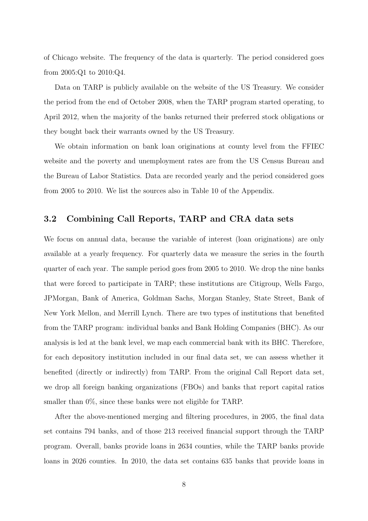of Chicago website. The frequency of the data is quarterly. The period considered goes from 2005:Q1 to 2010:Q4.

Data on TARP is publicly available on the website of the US Treasury. We consider the period from the end of October 2008, when the TARP program started operating, to April 2012, when the majority of the banks returned their preferred stock obligations or they bought back their warrants owned by the US Treasury.

We obtain information on bank loan originations at county level from the FFIEC website and the poverty and unemployment rates are from the US Census Bureau and the Bureau of Labor Statistics. Data are recorded yearly and the period considered goes from 2005 to 2010. We list the sources also in Table 10 of the Appendix.

### 3.2 Combining Call Reports, TARP and CRA data sets

We focus on annual data, because the variable of interest (loan originations) are only available at a yearly frequency. For quarterly data we measure the series in the fourth quarter of each year. The sample period goes from 2005 to 2010. We drop the nine banks that were forced to participate in TARP; these institutions are Citigroup, Wells Fargo, JPMorgan, Bank of America, Goldman Sachs, Morgan Stanley, State Street, Bank of New York Mellon, and Merrill Lynch. There are two types of institutions that benefited from the TARP program: individual banks and Bank Holding Companies (BHC). As our analysis is led at the bank level, we map each commercial bank with its BHC. Therefore, for each depository institution included in our final data set, we can assess whether it benefited (directly or indirectly) from TARP. From the original Call Report data set, we drop all foreign banking organizations (FBOs) and banks that report capital ratios smaller than  $0\%$ , since these banks were not eligible for TARP.

After the above-mentioned merging and filtering procedures, in 2005, the final data set contains 794 banks, and of those 213 received financial support through the TARP program. Overall, banks provide loans in 2634 counties, while the TARP banks provide loans in 2026 counties. In 2010, the data set contains 635 banks that provide loans in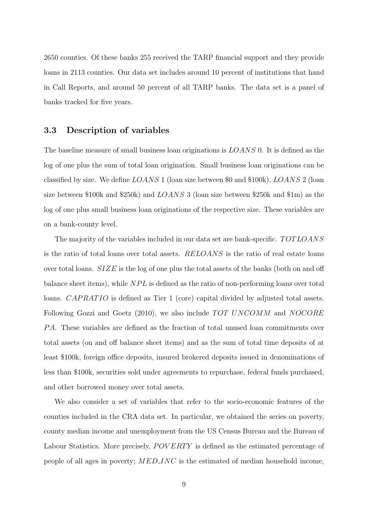2650 counties. Of these banks 255 received the TARP financial support and they provide loans in 2113 counties. Our data set includes around 10 percent of institutions that hand in Call Reports, and around 50 percent of all TARP banks. The data set is a panel of banks tracked for five years.

#### 3.3 Description of variables

The baseline measure of small business loan originations is LOANS 0. It is defined as the log of one plus the sum of total loan origination. Small business loan originations can be classified by size. We define  $LOANS$  1 (loan size between \$0 and \$100k),  $LOANS$  2 (loan size between \$100k and \$250k) and LOANS 3 (loan size between \$250k and \$1m) as the log of one plus small business loan originations of the respective size. These variables are on a bank-county level.

The majority of the variables included in our data set are bank-specific. TOTLOANS is the ratio of total loans over total assets. RELOANS is the ratio of real estate loans over total loans.  $SIZE$  is the log of one plus the total assets of the banks (both on and off balance sheet items), while  $NPL$  is defined as the ratio of non-performing loans over total loans. *CAPRATIO* is defined as Tier 1 (core) capital divided by adjusted total assets. Following Gozzi and Goetz (2010), we also include  $TOT$   $UNCOMM$  and  $NOCORE$ PA. These variables are defined as the fraction of total unused loan commitments over total assets (on and off balance sheet items) and as the sum of total time deposits of at least \$100k, foreign office deposits, insured brokered deposits issued in denominations of less than \$100k, securities sold under agreements to repurchase, federal funds purchased, and other borrowed money over total assets.

We also consider a set of variables that refer to the socio-economic features of the counties included in the CRA data set. In particular, we obtained the series on poverty, county median income and unemployment from the US Census Bureau and the Bureau of Labour Statistics. More precisely, *POVERTY* is defined as the estimated percentage of people of all ages in poverty; MED INC is the estimated of median household income,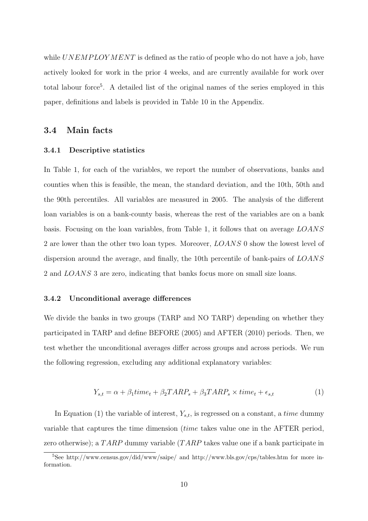while  $UNEMP$  LOYMENT is defined as the ratio of people who do not have a job, have actively looked for work in the prior 4 weeks, and are currently available for work over total labour force<sup>5</sup>. A detailed list of the original names of the series employed in this paper, definitions and labels is provided in Table 10 in the Appendix.

#### 3.4 Main facts

#### 3.4.1 Descriptive statistics

In Table 1, for each of the variables, we report the number of observations, banks and counties when this is feasible, the mean, the standard deviation, and the 10th, 50th and the 90th percentiles. All variables are measured in 2005. The analysis of the different loan variables is on a bank-county basis, whereas the rest of the variables are on a bank basis. Focusing on the loan variables, from Table 1, it follows that on average LOANS 2 are lower than the other two loan types. Moreover, LOANS 0 show the lowest level of dispersion around the average, and finally, the 10th percentile of bank-pairs of LOANS 2 and LOANS 3 are zero, indicating that banks focus more on small size loans.

#### 3.4.2 Unconditional average differences

We divide the banks in two groups (TARP and NO TARP) depending on whether they participated in TARP and define BEFORE (2005) and AFTER (2010) periods. Then, we test whether the unconditional averages differ across groups and across periods. We run the following regression, excluding any additional explanatory variables:

$$
Y_{s,t} = \alpha + \beta_1 time_t + \beta_2 TARP_s + \beta_3 TARP_s \times time_t + \epsilon_{s,t}
$$
\n<sup>(1)</sup>

In Equation (1) the variable of interest,  $Y_{s,t}$ , is regressed on a constant, a time dummy variable that captures the time dimension (time takes value one in the AFTER period, zero otherwise); a TARP dummy variable (TARP takes value one if a bank participate in

 $5$ See http://www.census.gov/did/www/saipe/ and http://www.bls.gov/cps/tables.htm for more information.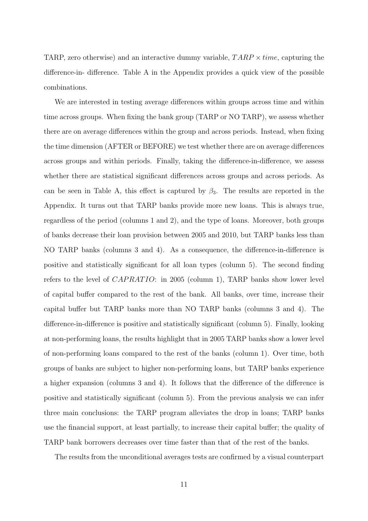TARP, zero otherwise) and an interactive dummy variable,  $TARP \times time$ , capturing the difference-in- difference. Table A in the Appendix provides a quick view of the possible combinations.

We are interested in testing average differences within groups across time and within time across groups. When fixing the bank group (TARP or NO TARP), we assess whether there are on average differences within the group and across periods. Instead, when fixing the time dimension (AFTER or BEFORE) we test whether there are on average differences across groups and within periods. Finally, taking the difference-in-difference, we assess whether there are statistical significant differences across groups and across periods. As can be seen in Table A, this effect is captured by  $\beta_3$ . The results are reported in the Appendix. It turns out that TARP banks provide more new loans. This is always true, regardless of the period (columns 1 and 2), and the type of loans. Moreover, both groups of banks decrease their loan provision between 2005 and 2010, but TARP banks less than NO TARP banks (columns 3 and 4). As a consequence, the difference-in-difference is positive and statistically significant for all loan types (column 5). The second finding refers to the level of  $CAPRATIO$ : in 2005 (column 1), TARP banks show lower level of capital buffer compared to the rest of the bank. All banks, over time, increase their capital buffer but TARP banks more than NO TARP banks (columns 3 and 4). The difference-in-difference is positive and statistically significant (column 5). Finally, looking at non-performing loans, the results highlight that in 2005 TARP banks show a lower level of non-performing loans compared to the rest of the banks (column 1). Over time, both groups of banks are subject to higher non-performing loans, but TARP banks experience a higher expansion (columns 3 and 4). It follows that the difference of the difference is positive and statistically significant (column 5). From the previous analysis we can infer three main conclusions: the TARP program alleviates the drop in loans; TARP banks use the financial support, at least partially, to increase their capital buffer; the quality of TARP bank borrowers decreases over time faster than that of the rest of the banks.

The results from the unconditional averages tests are confirmed by a visual counterpart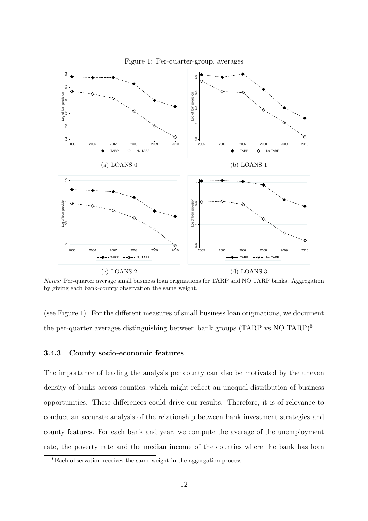

Figure 1: Per-quarter-group, averages

Notes: Per-quarter average small business loan originations for TARP and NO TARP banks. Aggregation by giving each bank-county observation the same weight.

(see Figure 1). For the different measures of small business loan originations, we document the per-quarter averages distinguishing between bank groups (TARP vs NO TARP)<sup>6</sup>.

#### 3.4.3 County socio-economic features

The importance of leading the analysis per county can also be motivated by the uneven density of banks across counties, which might reflect an unequal distribution of business opportunities. These differences could drive our results. Therefore, it is of relevance to conduct an accurate analysis of the relationship between bank investment strategies and county features. For each bank and year, we compute the average of the unemployment rate, the poverty rate and the median income of the counties where the bank has loan

<sup>6</sup>Each observation receives the same weight in the aggregation process.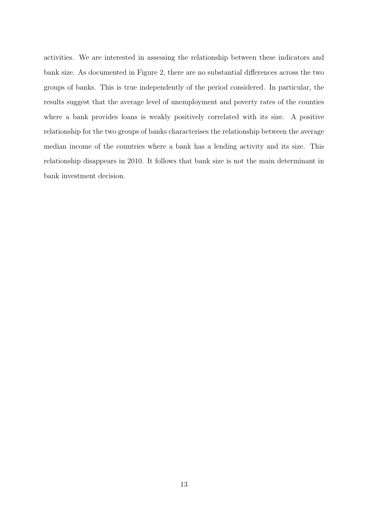activities. We are interested in assessing the relationship between these indicators and bank size. As documented in Figure 2, there are no substantial differences across the two groups of banks. This is true independently of the period considered. In particular, the results suggest that the average level of unemployment and poverty rates of the counties where a bank provides loans is weakly positively correlated with its size. A positive relationship for the two groups of banks characterises the relationship between the average median income of the countries where a bank has a lending activity and its size. This relationship disappears in 2010. It follows that bank size is not the main determinant in bank investment decision.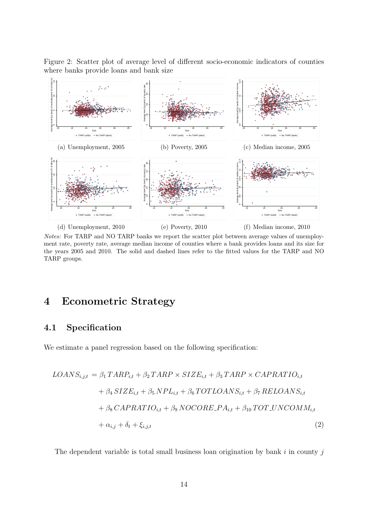Figure 2: Scatter plot of average level of different socio-economic indicators of counties where banks provide loans and bank size



Notes: For TARP and NO TARP banks we report the scatter plot between average values of unemployment rate, poverty rate, average median income of counties where a bank provides loans and its size for the years 2005 and 2010. The solid and dashed lines refer to the fitted values for the TARP and NO TARP groups.

### 4 Econometric Strategy

### 4.1 Specification

We estimate a panel regression based on the following specification:

$$
LOANS_{i,j,t} = \beta_1 TAR_{i,t} + \beta_2 TARP \times SIZE_{i,t} + \beta_3 TARP \times CAPRATIO_{i,t}
$$
  
+  $\beta_4 SIZE_{i,t} + \beta_5 NPL_{i,t} + \beta_6 TOTLOANS_{i,t} + \beta_7 RELOANS_{i,t}$   
+  $\beta_8 CAPRATIO_{i,t} + \beta_9 NOCORE.PA_{i,t} + \beta_{10} TOT UNCOMM_{i,t}$   
+  $\alpha_{i,j} + \delta_t + \xi_{i,j,t}$  (2)

The dependent variable is total small business loan origination by bank  $i$  in county  $j$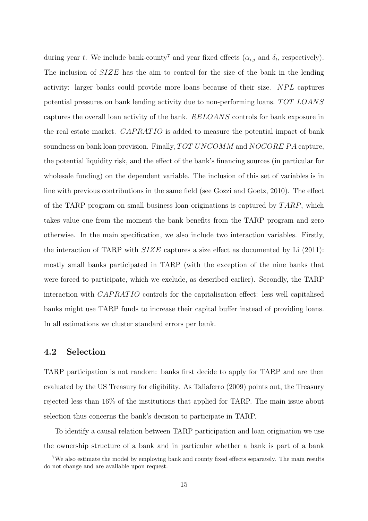during year t. We include bank-county<sup>7</sup> and year fixed effects ( $\alpha_{i,j}$  and  $\delta_t$ , respectively). The inclusion of SIZE has the aim to control for the size of the bank in the lending activity: larger banks could provide more loans because of their size. NPL captures potential pressures on bank lending activity due to non-performing loans. TOT LOANS captures the overall loan activity of the bank. RELOANS controls for bank exposure in the real estate market. CAPRATIO is added to measure the potential impact of bank soundness on bank loan provision. Finally,  $TOT$   $UNCOMM$  and  $NOCORE$   $PA$  capture, the potential liquidity risk, and the effect of the bank's financing sources (in particular for wholesale funding) on the dependent variable. The inclusion of this set of variables is in line with previous contributions in the same field (see Gozzi and Goetz, 2010). The effect of the TARP program on small business loan originations is captured by  $TARP$ , which takes value one from the moment the bank benefits from the TARP program and zero otherwise. In the main specification, we also include two interaction variables. Firstly, the interaction of TARP with  $SIZE$  captures a size effect as documented by Li (2011): mostly small banks participated in TARP (with the exception of the nine banks that were forced to participate, which we exclude, as described earlier). Secondly, the TARP interaction with  $CAPRATIO$  controls for the capitalisation effect: less well capitalised banks might use TARP funds to increase their capital buffer instead of providing loans. In all estimations we cluster standard errors per bank.

### 4.2 Selection

TARP participation is not random: banks first decide to apply for TARP and are then evaluated by the US Treasury for eligibility. As Taliaferro (2009) points out, the Treasury rejected less than 16% of the institutions that applied for TARP. The main issue about selection thus concerns the bank's decision to participate in TARP.

To identify a causal relation between TARP participation and loan origination we use the ownership structure of a bank and in particular whether a bank is part of a bank

<sup>7</sup>We also estimate the model by employing bank and county fixed effects separately. The main results do not change and are available upon request.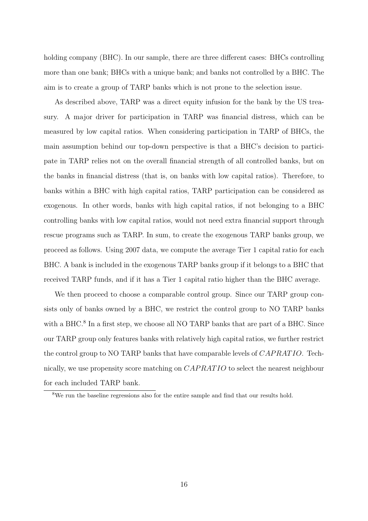holding company (BHC). In our sample, there are three different cases: BHCs controlling more than one bank; BHCs with a unique bank; and banks not controlled by a BHC. The aim is to create a group of TARP banks which is not prone to the selection issue.

As described above, TARP was a direct equity infusion for the bank by the US treasury. A major driver for participation in TARP was financial distress, which can be measured by low capital ratios. When considering participation in TARP of BHCs, the main assumption behind our top-down perspective is that a BHC's decision to participate in TARP relies not on the overall financial strength of all controlled banks, but on the banks in financial distress (that is, on banks with low capital ratios). Therefore, to banks within a BHC with high capital ratios, TARP participation can be considered as exogenous. In other words, banks with high capital ratios, if not belonging to a BHC controlling banks with low capital ratios, would not need extra financial support through rescue programs such as TARP. In sum, to create the exogenous TARP banks group, we proceed as follows. Using 2007 data, we compute the average Tier 1 capital ratio for each BHC. A bank is included in the exogenous TARP banks group if it belongs to a BHC that received TARP funds, and if it has a Tier 1 capital ratio higher than the BHC average.

We then proceed to choose a comparable control group. Since our TARP group consists only of banks owned by a BHC, we restrict the control group to NO TARP banks with a BHC.<sup>8</sup> In a first step, we choose all NO TARP banks that are part of a BHC. Since our TARP group only features banks with relatively high capital ratios, we further restrict the control group to NO TARP banks that have comparable levels of CAPRATIO. Technically, we use propensity score matching on CAPRATIO to select the nearest neighbour for each included TARP bank.

<sup>8</sup>We run the baseline regressions also for the entire sample and find that our results hold.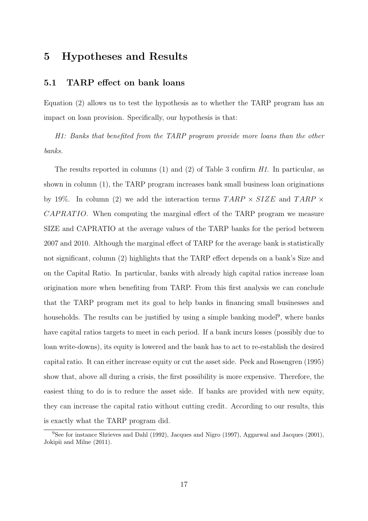### 5 Hypotheses and Results

### 5.1 TARP effect on bank loans

Equation (2) allows us to test the hypothesis as to whether the TARP program has an impact on loan provision. Specifically, our hypothesis is that:

H1: Banks that benefited from the TARP program provide more loans than the other banks.

The results reported in columns  $(1)$  and  $(2)$  of Table 3 confirm H1. In particular, as shown in column (1), the TARP program increases bank small business loan originations by 19%. In column (2) we add the interaction terms  $TARP \times SIZE$  and  $TARP \times$ CAPRATIO. When computing the marginal effect of the TARP program we measure SIZE and CAPRATIO at the average values of the TARP banks for the period between 2007 and 2010. Although the marginal effect of TARP for the average bank is statistically not significant, column (2) highlights that the TARP effect depends on a bank's Size and on the Capital Ratio. In particular, banks with already high capital ratios increase loan origination more when benefiting from TARP. From this first analysis we can conclude that the TARP program met its goal to help banks in financing small businesses and households. The results can be justified by using a simple banking model<sup>9</sup>, where banks have capital ratios targets to meet in each period. If a bank incurs losses (possibly due to loan write-downs), its equity is lowered and the bank has to act to re-establish the desired capital ratio. It can either increase equity or cut the asset side. Peek and Rosengren (1995) show that, above all during a crisis, the first possibility is more expensive. Therefore, the easiest thing to do is to reduce the asset side. If banks are provided with new equity, they can increase the capital ratio without cutting credit. According to our results, this is exactly what the TARP program did.

<sup>&</sup>lt;sup>9</sup>See for instance Shrieves and Dahl (1992), Jacques and Nigro (1997), Aggarwal and Jacques (2001), Jokipii and Milne (2011).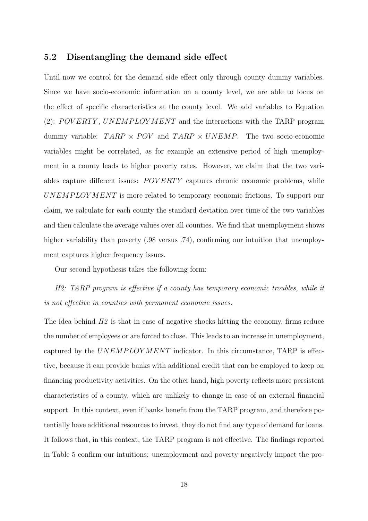#### 5.2 Disentangling the demand side effect

Until now we control for the demand side effect only through county dummy variables. Since we have socio-economic information on a county level, we are able to focus on the effect of specific characteristics at the county level. We add variables to Equation (2):  $POVERTY$ ,  $UNEMPLOYMENT$  and the interactions with the TARP program dummy variable:  $TARP \times POV$  and  $TARP \times UNEMP$ . The two socio-economic variables might be correlated, as for example an extensive period of high unemployment in a county leads to higher poverty rates. However, we claim that the two variables capture different issues: POVERTY captures chronic economic problems, while  $UNEM PLOYMENT$  is more related to temporary economic frictions. To support our claim, we calculate for each county the standard deviation over time of the two variables and then calculate the average values over all counties. We find that unemployment shows higher variability than poverty (.98 versus .74), confirming our intuition that unemployment captures higher frequency issues.

Our second hypothesis takes the following form:

H2: TARP program is effective if a county has temporary economic troubles, while it is not effective in counties with permanent economic issues.

The idea behind  $H2$  is that in case of negative shocks hitting the economy, firms reduce the number of employees or are forced to close. This leads to an increase in unemployment, captured by the  $UNEMPLOYMENT$  indicator. In this circumstance, TARP is effective, because it can provide banks with additional credit that can be employed to keep on financing productivity activities. On the other hand, high poverty reflects more persistent characteristics of a county, which are unlikely to change in case of an external financial support. In this context, even if banks benefit from the TARP program, and therefore potentially have additional resources to invest, they do not find any type of demand for loans. It follows that, in this context, the TARP program is not effective. The findings reported in Table 5 confirm our intuitions: unemployment and poverty negatively impact the pro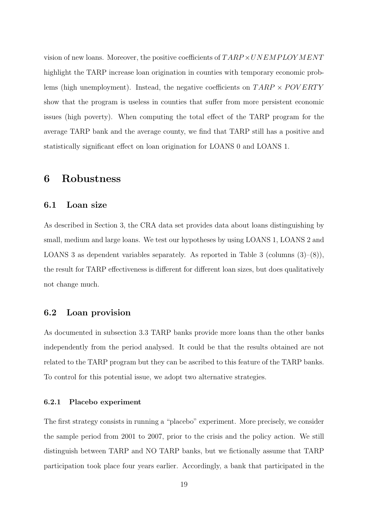vision of new loans. Moreover, the positive coefficients of  $TARP \times UNEMPLOYMENT$ highlight the TARP increase loan origination in counties with temporary economic problems (high unemployment). Instead, the negative coefficients on  $TARP \times POVERTY$ show that the program is useless in counties that suffer from more persistent economic issues (high poverty). When computing the total effect of the TARP program for the average TARP bank and the average county, we find that TARP still has a positive and statistically significant effect on loan origination for LOANS 0 and LOANS 1.

### 6 Robustness

#### 6.1 Loan size

As described in Section 3, the CRA data set provides data about loans distinguishing by small, medium and large loans. We test our hypotheses by using LOANS 1, LOANS 2 and LOANS 3 as dependent variables separately. As reported in Table 3 (columns (3)–(8)), the result for TARP effectiveness is different for different loan sizes, but does qualitatively not change much.

### 6.2 Loan provision

As documented in subsection 3.3 TARP banks provide more loans than the other banks independently from the period analysed. It could be that the results obtained are not related to the TARP program but they can be ascribed to this feature of the TARP banks. To control for this potential issue, we adopt two alternative strategies.

#### 6.2.1 Placebo experiment

The first strategy consists in running a "placebo" experiment. More precisely, we consider the sample period from 2001 to 2007, prior to the crisis and the policy action. We still distinguish between TARP and NO TARP banks, but we fictionally assume that TARP participation took place four years earlier. Accordingly, a bank that participated in the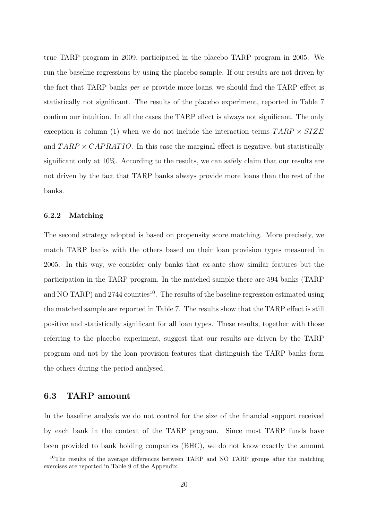true TARP program in 2009, participated in the placebo TARP program in 2005. We run the baseline regressions by using the placebo-sample. If our results are not driven by the fact that TARP banks per se provide more loans, we should find the TARP effect is statistically not significant. The results of the placebo experiment, reported in Table 7 confirm our intuition. In all the cases the TARP effect is always not significant. The only exception is column (1) when we do not include the interaction terms  $TARP \times SIZE$ and  $TARP \times CAPRATIO$ . In this case the marginal effect is negative, but statistically significant only at 10%. According to the results, we can safely claim that our results are not driven by the fact that TARP banks always provide more loans than the rest of the banks.

### 6.2.2 Matching

The second strategy adopted is based on propensity score matching. More precisely, we match TARP banks with the others based on their loan provision types measured in 2005. In this way, we consider only banks that ex-ante show similar features but the participation in the TARP program. In the matched sample there are 594 banks (TARP and NO TARP) and  $2744$  counties<sup>10</sup>. The results of the baseline regression estimated using the matched sample are reported in Table 7. The results show that the TARP effect is still positive and statistically significant for all loan types. These results, together with those referring to the placebo experiment, suggest that our results are driven by the TARP program and not by the loan provision features that distinguish the TARP banks form the others during the period analysed.

### 6.3 TARP amount

In the baseline analysis we do not control for the size of the financial support received by each bank in the context of the TARP program. Since most TARP funds have been provided to bank holding companies (BHC), we do not know exactly the amount

<sup>10</sup>The results of the average differences between TARP and NO TARP groups after the matching exercises are reported in Table 9 of the Appendix.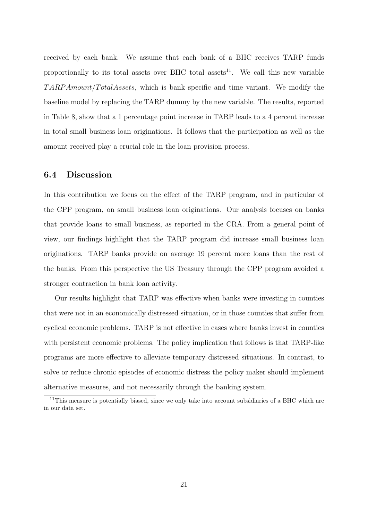received by each bank. We assume that each bank of a BHC receives TARP funds proportionally to its total assets over BHC total assets<sup>11</sup>. We call this new variable  $TARPAmount/TotalAssets, which is bank specific and time variant. We modify the$ baseline model by replacing the TARP dummy by the new variable. The results, reported in Table 8, show that a 1 percentage point increase in TARP leads to a 4 percent increase in total small business loan originations. It follows that the participation as well as the amount received play a crucial role in the loan provision process.

### 6.4 Discussion

In this contribution we focus on the effect of the TARP program, and in particular of the CPP program, on small business loan originations. Our analysis focuses on banks that provide loans to small business, as reported in the CRA. From a general point of view, our findings highlight that the TARP program did increase small business loan originations. TARP banks provide on average 19 percent more loans than the rest of the banks. From this perspective the US Treasury through the CPP program avoided a stronger contraction in bank loan activity.

Our results highlight that TARP was effective when banks were investing in counties that were not in an economically distressed situation, or in those counties that suffer from cyclical economic problems. TARP is not effective in cases where banks invest in counties with persistent economic problems. The policy implication that follows is that TARP-like programs are more effective to alleviate temporary distressed situations. In contrast, to solve or reduce chronic episodes of economic distress the policy maker should implement alternative measures, and not necessarily through the banking system.

<sup>&</sup>lt;sup>11</sup>This measure is potentially biased, since we only take into account subsidiaries of a BHC which are in our data set.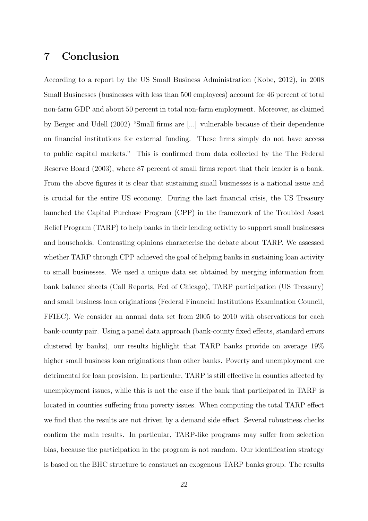### 7 Conclusion

According to a report by the US Small Business Administration (Kobe, 2012), in 2008 Small Businesses (businesses with less than 500 employees) account for 46 percent of total non-farm GDP and about 50 percent in total non-farm employment. Moreover, as claimed by Berger and Udell (2002) "Small firms are [...] vulnerable because of their dependence on financial institutions for external funding. These firms simply do not have access to public capital markets." This is confirmed from data collected by the The Federal Reserve Board (2003), where 87 percent of small firms report that their lender is a bank. From the above figures it is clear that sustaining small businesses is a national issue and is crucial for the entire US economy. During the last financial crisis, the US Treasury launched the Capital Purchase Program (CPP) in the framework of the Troubled Asset Relief Program (TARP) to help banks in their lending activity to support small businesses and households. Contrasting opinions characterise the debate about TARP. We assessed whether TARP through CPP achieved the goal of helping banks in sustaining loan activity to small businesses. We used a unique data set obtained by merging information from bank balance sheets (Call Reports, Fed of Chicago), TARP participation (US Treasury) and small business loan originations (Federal Financial Institutions Examination Council, FFIEC). We consider an annual data set from 2005 to 2010 with observations for each bank-county pair. Using a panel data approach (bank-county fixed effects, standard errors clustered by banks), our results highlight that TARP banks provide on average 19% higher small business loan originations than other banks. Poverty and unemployment are detrimental for loan provision. In particular, TARP is still effective in counties affected by unemployment issues, while this is not the case if the bank that participated in TARP is located in counties suffering from poverty issues. When computing the total TARP effect we find that the results are not driven by a demand side effect. Several robustness checks confirm the main results. In particular, TARP-like programs may suffer from selection bias, because the participation in the program is not random. Our identification strategy is based on the BHC structure to construct an exogenous TARP banks group. The results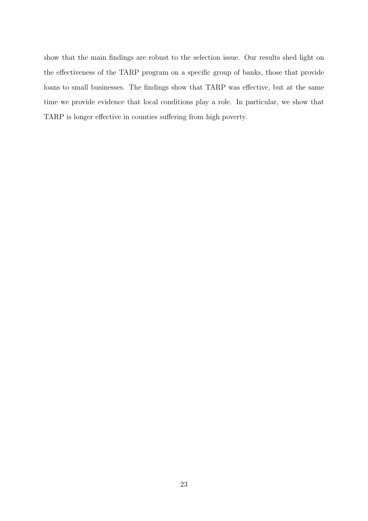show that the main findings are robust to the selection issue. Our results shed light on the effectiveness of the TARP program on a specific group of banks, those that provide loans to small businesses. The findings show that TARP was effective, but at the same time we provide evidence that local conditions play a role. In particular, we show that TARP is longer effective in counties suffering from high poverty.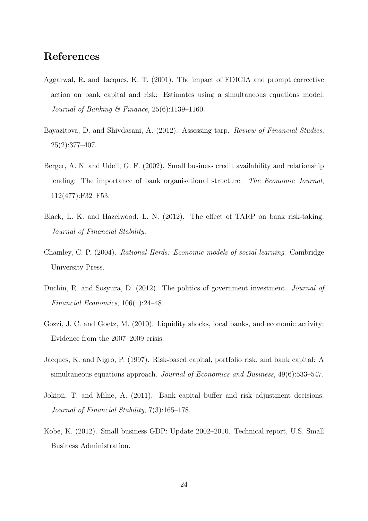### References

- Aggarwal, R. and Jacques, K. T. (2001). The impact of FDICIA and prompt corrective action on bank capital and risk: Estimates using a simultaneous equations model. Journal of Banking & Finance, 25(6):1139–1160.
- Bayazitova, D. and Shivdasani, A. (2012). Assessing tarp. Review of Financial Studies, 25(2):377–407.
- Berger, A. N. and Udell, G. F. (2002). Small business credit availability and relationship lending: The importance of bank organisational structure. The Economic Journal, 112(477):F32–F53.
- Black, L. K. and Hazelwood, L. N. (2012). The effect of TARP on bank risk-taking. Journal of Financial Stability.
- Chamley, C. P. (2004). Rational Herds: Economic models of social learning. Cambridge University Press.
- Duchin, R. and Sosyura, D. (2012). The politics of government investment. *Journal of* Financial Economics, 106(1):24–48.
- Gozzi, J. C. and Goetz, M. (2010). Liquidity shocks, local banks, and economic activity: Evidence from the 2007–2009 crisis.
- Jacques, K. and Nigro, P. (1997). Risk-based capital, portfolio risk, and bank capital: A simultaneous equations approach. Journal of Economics and Business, 49(6):533–547.
- Jokipii, T. and Milne, A. (2011). Bank capital buffer and risk adjustment decisions. Journal of Financial Stability, 7(3):165–178.
- Kobe, K. (2012). Small business GDP: Update 2002–2010. Technical report, U.S. Small Business Administration.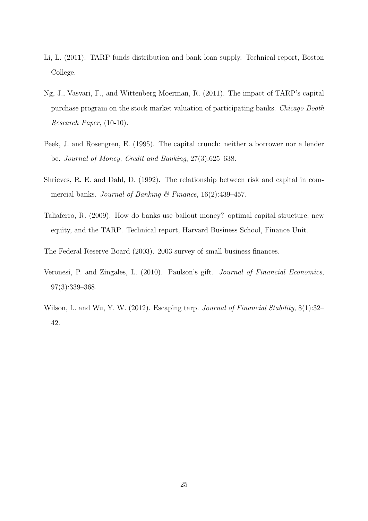- Li, L. (2011). TARP funds distribution and bank loan supply. Technical report, Boston College.
- Ng, J., Vasvari, F., and Wittenberg Moerman, R. (2011). The impact of TARP's capital purchase program on the stock market valuation of participating banks. Chicago Booth Research Paper, (10-10).
- Peek, J. and Rosengren, E. (1995). The capital crunch: neither a borrower nor a lender be. Journal of Money, Credit and Banking, 27(3):625–638.
- Shrieves, R. E. and Dahl, D. (1992). The relationship between risk and capital in commercial banks. Journal of Banking & Finance,  $16(2):439-457$ .
- Taliaferro, R. (2009). How do banks use bailout money? optimal capital structure, new equity, and the TARP. Technical report, Harvard Business School, Finance Unit.
- The Federal Reserve Board (2003). 2003 survey of small business finances.
- Veronesi, P. and Zingales, L. (2010). Paulson's gift. Journal of Financial Economics, 97(3):339–368.
- Wilson, L. and Wu, Y. W. (2012). Escaping tarp. Journal of Financial Stability, 8(1):32– 42.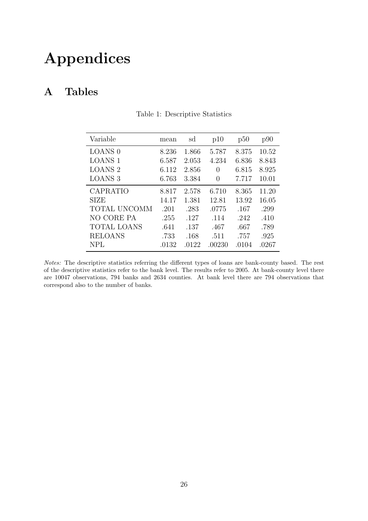# Appendices

### A Tables

| Variable           | mean  | sd    | p10              | p50   | p90   |
|--------------------|-------|-------|------------------|-------|-------|
| <b>LOANS 0</b>     | 8.236 | 1.866 | 5.787            | 8.375 | 10.52 |
| <b>LOANS 1</b>     | 6.587 | 2.053 | 4.234            | 6.836 | 8.843 |
| <b>LOANS 2</b>     | 6.112 | 2.856 | $\left( \right)$ | 6.815 | 8.925 |
| <b>LOANS 3</b>     | 6.763 | 3.384 | $\left( \right)$ | 7.717 | 10.01 |
| <b>CAPRATIO</b>    | 8.817 | 2.578 | 6.710            | 8.365 | 11.20 |
| <b>SIZE</b>        | 14.17 | 1.381 | 12.81            | 13.92 | 16.05 |
| TOTAL UNCOMM       | .201  | .283  | .0775            | .167  | .299  |
| NO CORE PA         | .255  | .127  | .114             | .242  | .410  |
| <b>TOTAL LOANS</b> | .641  | .137  | .467             | .667  | .789  |
| <b>RELOANS</b>     | .733  | .168  | .511             | .757  | .925  |
| <b>NPL</b>         | .0132 | .0122 | .00230           | .0104 | .0267 |

Table 1: Descriptive Statistics

Notes: The descriptive statistics referring the different types of loans are bank-county based. The rest of the descriptive statistics refer to the bank level. The results refer to 2005. At bank-county level there are 10047 observations, 794 banks and 2634 counties. At bank level there are 794 observations that correspond also to the number of banks.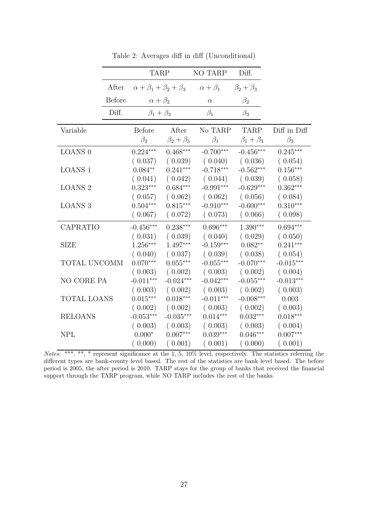|                    |               | <b>TARP</b>                            |                   | <b>NO TARP</b>     | Diff.             |              |
|--------------------|---------------|----------------------------------------|-------------------|--------------------|-------------------|--------------|
|                    | After         | $\alpha + \beta_1 + \beta_2 + \beta_3$ |                   | $\alpha + \beta_1$ | $\beta_2+\beta_3$ |              |
|                    | <b>Before</b> | $\alpha+\beta_2$                       |                   | $\alpha$           | $\beta_2$         |              |
|                    | Diff.         | $\beta_1+\beta_3$                      |                   | $\beta_1$          | $\beta_3$         |              |
| Variable           |               | <b>Before</b>                          | After             | No TARP            | <b>TARP</b>       | Diff in Diff |
|                    |               | $\beta_2$                              | $\beta_2+\beta_3$ | $\beta_1$          | $\beta_1+\beta_3$ | $\beta_3$    |
| <b>LOANS 0</b>     |               | $0.224***$                             | $0.468***$        | $-0.700***$        | $-0.456***$       | $0.245***$   |
|                    |               | (0.037)                                | (0.039)           | (0.040)            | (0.036)           | (0.054)      |
| <b>LOANS 1</b>     |               | $0.084**$                              | $0.241***$        | $-0.718***$        | $-0.562***$       | $0.156***$   |
|                    |               | (0.041)                                | (0.042)           | (0.044)            | (0.039)           | (0.058)      |
| <b>LOANS 2</b>     |               | $0.323***$                             | $0.684***$        | $-0.991***$        | $-0.629***$       | $0.362***$   |
|                    |               | (0.057)                                | (0.062)           | (0.062)            | (0.056)           | (0.084)      |
| <b>LOANS 3</b>     |               | $0.504***$                             | $0.815***$        | $-0.910***$        | $-0.600***$       | $0.310***$   |
|                    |               | (0.067)                                | (0.072)           | (0.073)            | (0.066)           | (0.098)      |
| CAPRATIO           |               | $-0.456***$                            | $0.238***$        | $0.696***$         | $1.390***$        | $0.694***$   |
|                    |               | (0.031)                                | (0.039)           | (0.040)            | (0.029)           | (0.050)      |
| <b>SIZE</b>        |               | $1.256***$                             | 1.497***          | $-0.159***$        | $0.082**$         | $0.241***$   |
|                    |               | (0.040)                                | (0.037)           | (0.039)            | (0.038)           | (0.054)      |
| TOTAL UNCOMM       |               | $0.070***$                             | $0.055***$        | $-0.055***$        | $-0.070***$       | $-0.015***$  |
|                    |               | (0.003)                                | (0.002)           | (0.003)            | (0.002)           | (0.004)      |
| NO CORE PA         |               | $-0.011***$                            | $-0.024***$       | $-0.042***$        | $-0.055***$       | $-0.013***$  |
|                    |               | (0.003)                                | (0.002)           | (0.003)            | (0.002)           | (0.003)      |
| <b>TOTAL LOANS</b> |               | $0.015***$                             | $0.018***$        | $-0.011***$        | $-0.008***$       | 0.003        |
|                    |               | (0.002)                                | (0.002)           | (0.003)            | (0.002)           | (0.003)      |
| <b>RELOANS</b>     |               | $-0.053***$                            | $-0.035***$       | $0.014***$         | $0.032***$        | $0.018***$   |
|                    |               | (0.003)                                | (0.003)           | (0.003)            | (0.003)           | (0.004)      |
| <b>NPL</b>         |               | $0.000*$                               | $0.007***$        | $0.039***$         | $0.046***$        | $0.007***$   |
|                    |               | (0.000)                                | (0.001)           | (0.001)            | (0.000)           | (0.001)      |

Table 2: Averages diff in diff (Unconditional)

Notes: \*\*\*, \*\*, \* represent significance at the 1, 5, 10% level, respectively. The statistics referring the different types are bank-county level based. The rest of the statistics are bank level based. The before period is 2005, the after period is 2010. TARP stays for the group of banks that received the financial support through the TARP program, while NO TARP includes the rest of the banks.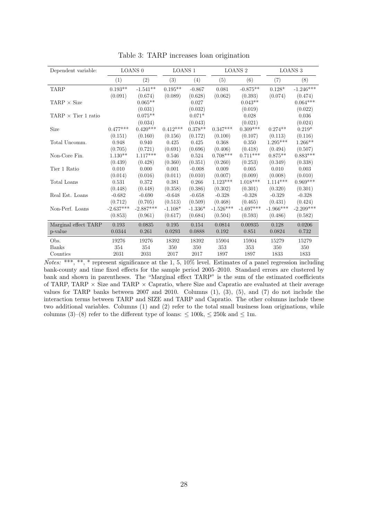| Dependent variable:              |             | LOANS <sub>0</sub> | <b>LOANS 1</b> |           |             | <b>LOANS 2</b> |             | LOANS <sub>3</sub> |
|----------------------------------|-------------|--------------------|----------------|-----------|-------------|----------------|-------------|--------------------|
|                                  | (1)         | (2)                | (3)            | (4)       | (5)         | (6)            | (7)         | (8)                |
| <b>TARP</b>                      | $0.193**$   | $-1.541**$         | $0.195**$      | $-0.867$  | 0.081       | $-0.875**$     | $0.128*$    | $-1.246***$        |
|                                  | (0.091)     | (0.674)            | (0.089)        | (0.628)   | (0.062)     | (0.393)        | (0.074)     | (0.474)            |
| $\text{TARP} \times \text{Size}$ |             | $0.065**$          |                | 0.027     |             | $0.043**$      |             | $0.064***$         |
|                                  |             | (0.031)            |                | (0.032)   |             | (0.019)        |             | (0.022)            |
| TARP $\times$ Tier 1 ratio       |             | $0.075**$          |                | $0.071*$  |             | 0.028          |             | 0.036              |
|                                  |             | (0.034)            |                | (0.043)   |             | (0.021)        |             | (0.024)            |
| Size                             | $0.477***$  | $0.420***$         | $0.412***$     | $0.378**$ | $0.347***$  | $0.309***$     | $0.274**$   | $0.219*$           |
|                                  | (0.151)     | (0.160)            | (0.156)        | (0.172)   | (0.100)     | (0.107)        | (0.113)     | (0.116)            |
| Total Uncomm.                    | 0.948       | 0.940              | 0.425          | 0.425     | 0.368       | 0.350          | $1.295***$  | $1.266**$          |
|                                  | (0.705)     | (0.721)            | (0.691)        | (0.696)   | (0.406)     | (0.418)        | (0.494)     | (0.507)            |
| Non-Core Fin.                    | $1.130**$   | $1.117***$         | 0.546          | 0.524     | $0.708***$  | $0.711***$     | $0.875**$   | $0.883***$         |
|                                  | (0.439)     | (0.428)            | (0.360)        | (0.351)   | (0.260)     | (0.253)        | (0.349)     | (0.338)            |
| Tier 1 Ratio                     | 0.010       | 0.000              | 0.001          | $-0.008$  | 0.009       | 0.005          | 0.010       | 0.003              |
|                                  | (0.014)     | (0.016)            | (0.011)        | (0.010)   | (0.007)     | (0.009)        | (0.008)     | (0.010)            |
| Total Loans                      | 0.531       | 0.372              | 0.381          | 0.266     | $1.123***$  | $1.018***$     | $1.114***$  | $0.969***$         |
|                                  | (0.448)     | (0.448)            | (0.358)        | (0.386)   | (0.302)     | (0.301)        | (0.320)     | (0.301)            |
| Real Est. Loans                  | $-0.682$    | $-0.690$           | $-0.648$       | $-0.658$  | $-0.328$    | $-0.328$       | $-0.329$    | $-0.328$           |
|                                  | (0.712)     | (0.705)            | (0.513)        | (0.509)   | (0.468)     | (0.465)        | (0.431)     | (0.424)            |
| Non-Perf. Loans                  | $-2.637***$ | $-2.887***$        | $-1.108*$      | $-1.336*$ | $-1.526***$ | $-1.697***$    | $-1.966***$ | $-2.209***$        |
|                                  | (0.853)     | (0.961)            | (0.617)        | (0.684)   | (0.504)     | (0.593)        | (0.486)     | (0.582)            |
| Marginal effect TARP             | 0.193       | 0.0835             | 0.195          | 0.154     | 0.0814      | 0.00935        | 0.128       | 0.0206             |
| p-value                          | 0.0344      | 0.261              | 0.0293         | 0.0888    | 0.192       | 0.851          | 0.0824      | 0.732              |
| Obs.                             | 19276       | 19276              | 18392          | 18392     | 15904       | 15904          | 15279       | 15279              |
| <b>Banks</b>                     | 354         | 354                | 350            | 350       | 353         | 353            | 350         | 350                |
| Counties                         | 2031        | 2031               | 2017           | 2017      | 1897        | 1897           | 1833        | 1833               |

Table 3: TARP increases loan origination

 $Notes: ***, **, *<sup>*</sup>,<sup>**</sup>,<sup>**</sup> represent significance at the 1, 5, 10% level. Estimates of a panel regression including$ bank-county and time fixed effects for the sample period 2005–2010. Standard errors are clustered by bank and shown in parentheses. The "Marginal effect TARP" is the sum of the estimated coefficients of TARP, TARP  $\times$  Size and TARP  $\times$  Capratio, where Size and Capratio are evaluated at their average values for TARP banks between 2007 and 2010. Columns (1), (3), (5), and (7) do not include the interaction terms between TARP and SIZE and TARP and Capratio. The other columns include these two additional variables. Columns (1) and (2) refer to the total small business loan originations, while columns (3)–(8) refer to the different type of loans:  $\leq 100k$ ,  $\leq 250k$  and  $\leq 1m$ .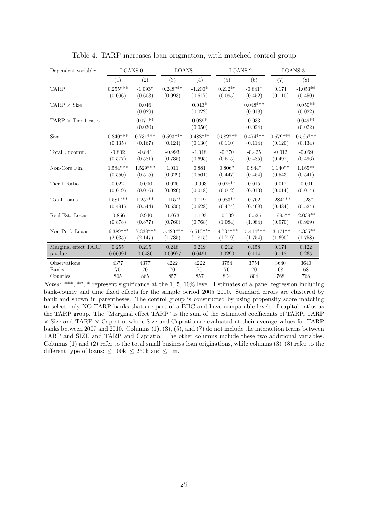| Dependent variable:        |                   | <b>LOANS 0</b>       |             | <b>LOANS 1</b>      |             | <b>LOANS 2</b>        |            | <b>LOANS 3</b>       |
|----------------------------|-------------------|----------------------|-------------|---------------------|-------------|-----------------------|------------|----------------------|
|                            | $\left( 1\right)$ | (2)                  | (3)         | (4)                 | (5)         | (6)                   | (7)        | (8)                  |
| <b>TARP</b>                | $0.255***$        | $-1.093*$            | $0.248***$  | $-1.200*$           | $0.212**$   | $-0.841*$             | 0.174      | $-1.053**$           |
|                            | (0.096)           | (0.603)              | (0.093)     | (0.617)             | (0.095)     | (0.452)               | (0.110)    | (0.450)              |
| TARP $\times$ Size         |                   | 0.046<br>(0.029)     |             | $0.043*$<br>(0.022) |             | $0.048***$<br>(0.018) |            | $0.050**$<br>(0.022) |
| TARP $\times$ Tier 1 ratio |                   | $0.071**$<br>(0.030) |             | $0.089*$<br>(0.050) |             | 0.033<br>(0.024)      |            | $0.049**$<br>(0.022) |
| Size                       | $0.840***$        | $0.731***$           | $0.593***$  | $0.488***$          | $0.582***$  | $0.474***$            | $0.679***$ | $0.566***$           |
|                            | (0.135)           | (0.167)              | (0.124)     | (0.130)             | (0.110)     | (0.114)               | (0.120)    | (0.134)              |
| Total Uncomm.              | $-0.802$          | $-0.841$             | $-0.993$    | $-1.018$            | $-0.370$    | $-0.425$              | $-0.012$   | $-0.069$             |
|                            | (0.577)           | (0.581)              | (0.735)     | (0.695)             | (0.515)     | (0.485)               | (0.497)    | (0.496)              |
| Non-Core Fin.              | $1.584***$        | $1.529***$           | 1.011       | 0.881               | $0.806*$    | $0.844*$              | $1.140**$  | $1.165**$            |
|                            | (0.550)           | (0.515)              | (0.629)     | (0.561)             | (0.447)     | (0.454)               | (0.543)    | (0.541)              |
| Tier 1 Ratio               | 0.022             | $-0.000$             | 0.026       | $-0.003$            | $0.028**$   | 0.015                 | 0.017      | $-0.001$             |
|                            | (0.019)           | (0.016)              | (0.026)     | (0.018)             | (0.012)     | (0.013)               | (0.014)    | (0.014)              |
| Total Loans                | $1.581***$        | $1.257**$            | $1.115**$   | 0.719               | $0.983**$   | 0.762                 | $1.284***$ | $1.023*$             |
|                            | (0.491)           | (0.544)              | (0.530)     | (0.628)             | (0.474)     | (0.468)               | (0.484)    | (0.524)              |
| Real Est. Loans            | $-0.856$          | $-0.940$             | $-1.073$    | $-1.193$            | $-0.539$    | $-0.525$              | $-1.995**$ | $-2.039**$           |
|                            | (0.878)           | (0.877)              | (0.760)     | (0.768)             | (1.084)     | (1.084)               | (0.970)    | (0.969)              |
| Non-Perf. Loans            | $-6.389***$       | $-7.338***$          | $-5.423***$ | $-6.513***$         | $-4.734***$ | $-5.414***$           | $-3.471**$ | $-4.335**$           |
|                            | (2.035)           | (2.147)              | (1.735)     | (1.815)             | (1.719)     | (1.754)               | (1.690)    | (1.758)              |
| Marginal effect TARP       | 0.255             | 0.215                | 0.248       | 0.219               | 0.212       | 0.158                 | 0.174      | 0.122                |
| p-value                    | 0.00991           | 0.0430               | 0.00977     | 0.0491              | 0.0290      | 0.114                 | 0.118      | 0.265                |
| Observations               | 4377              | 4377                 | 4222        | 4222                | 3754        | 3754                  | 3640       | 3640                 |
| <b>Banks</b>               | 70                | 70                   | 70          | 70                  | 70          | 70                    | 68         | 68                   |
| Counties                   | 865               | 865                  | 857         | 857                 | 804         | 804                   | 768        | 768                  |

Table 4: TARP increases loan origination, with matched control group

Notes: \*\*\*, \*\*, \* represent significance at the 1, 5, 10% level. Estimates of a panel regression including bank-county and time fixed effects for the sample period 2005–2010. Standard errors are clustered by bank and shown in parentheses. The control group is constructed by using propensity score matching to select only NO TARP banks that are part of a BHC and have comparable levels of capital ratios as the TARP group. The "Marginal effect TARP" is the sum of the estimated coefficients of TARP, TARP  $\times$  Size and TARP  $\times$  Capratio, where Size and Capratio are evaluated at their average values for TARP banks between 2007 and 2010. Columns (1), (3), (5), and (7) do not include the interaction terms between TARP and SIZE and TARP and Capratio. The other columns include these two additional variables. Columns (1) and (2) refer to the total small business loan originations, while columns  $(3)-(8)$  refer to the different type of loans:  $\leq 100k$ ,  $\leq 250k$  and  $\leq 1m$ .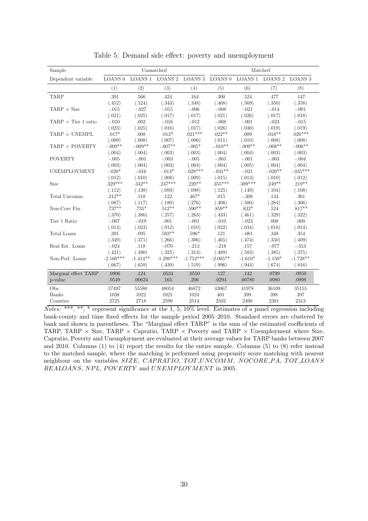| Sample:                    |                    |            | Unmatched       |                    |            | Matched                 |           |                    |
|----------------------------|--------------------|------------|-----------------|--------------------|------------|-------------------------|-----------|--------------------|
| Dependent variable:        | LOANS <sub>0</sub> |            | LOANS 1 LOANS 2 | LOANS <sub>3</sub> |            | LOANS 0 LOANS 1 LOANS 2 |           | LOANS <sub>3</sub> |
|                            | (1)                | (2)        | (3)             | (4)                | (5)        | (6)                     | (7)       | (8)                |
| <b>TARP</b>                | .391               | .566       | .424            | .164               | .300       | .524                    | .477      | .147               |
|                            | (.452)             | (.524)     | (.343)          | (.348)             | (.468)     | (.569)                  | (.350)    | (.358)             |
| TARP $\times$ Size         | $-.015$            | $-.027$    | $-.015$         | $-.006$            | $-.008$    | $-.021$                 | $-.014$   | $-.001$            |
|                            | (.021)             | (.025)     | (.017)          | (.017)             | (.021)     | (.026)                  | (.017)    | (.018)             |
| TARP $\times$ Tier 1 ratio | $-.010$            | .002       | $-.016$         | $-.012$            | $-.008$    | $-.001$                 | $-.023$   | $-.015$            |
|                            | (.023)             | (.025)     | (.016)          | (.017)             | (.026)     | (.030)                  | (.019)    | (.019)             |
| TARP $\times$ UNEMPL       | $.017*$            | .008       | $.012*$         | $.021***$          | $.022**$   | .009                    | $.016**$  | $.026***$          |
|                            | (.009)             | (.008)     | (.007)          | (.006)             | (.011)     | (.010)                  | (.008)    | (.008)             |
| TARP $\times$ POVERTY      | $-.009**$          | $-.009**$  | $-.007**$       | $-.005*$           | $-.010**$  | $-.009**$               | $-.008**$ | $-.006**$          |
|                            | (.004)             | (.004)     | (.003)          | (.003)             | (.004)     | (.004)                  | (.003)    | (.003)             |
| <b>POVERTY</b>             | $-.005$            | $-.001$    | $-.003$         | $-.005$            | $-.003$    | $-.001$                 | $-.003$   | $-.004$            |
|                            | (.003)             | (.004)     | (.003)          | (.004)             | (.004)     | (.005)                  | (.004)    | (.004)             |
| <b>UNEMPLOYMENT</b>        | $-.020*$           | $-.016$    | $-.013*$        | $-.028***$         | $-.031**$  | $-.021$                 | $-.020**$ | $-.035***$         |
|                            | (.012)             | (.010)     | (.008)          | (.009)             | (.015)     | (.013)                  | (.010)    | (.012)             |
| Size                       | $.329***$          | $.342**$   | $.247***$       | $.220**$           | $.355***$  | $.389***$               | $.249**$  | $.219**$           |
|                            | (.112)             | (.139)     | (.093)          | (.098)             | (.125)     | (.149)                  | (.104)    | (.108)             |
| Total Uncomm.              | $.212**$           | .118       | .122            | $.467*$            | .015       | $-.308$                 | .134      | $.361\,$           |
|                            | (.087)             | (.117)     | (.180)          | (.276)             | (.408)     | (.500)                  | (.284)    | (.306)             |
| Non-Core Fin.              | $.737**$           | $.735*$    | $.512**$        | $.590**$           | $.859**$   | $.832^*$                | .524      | $.817**$           |
|                            | (.370)             | (.386)     | (.257)          | (.263)             | (.433)     | (.461)                  | (.329)    | (.322)             |
| Tier 1 Ratio               | $-.007$            | $-.019$    | .001            | $-.001$            | $-.010$    | $-.023$                 | .008      | .000               |
|                            | (.014)             | (.023)     | (.012)          | (.010)             | (.022)     | (.034)                  | (.018)    | (.014)             |
| Total Loans                | .391               | .095       | $.593**$        | $.596*$            | .121       | $-.081$                 | .348      | .354               |
|                            | (.349)             | (.371)     | (.266)          | (.306)             | (.465)     | (.474)                  | (.350)    | (.409)             |
| Real Est. Loans            | $-.024$            | $.118\,$   | $-.070$         | $-.213$            | $-.218$    | .157                    | $-.077$   | $-353$             |
|                            | (.421)             | (.490)     | (.325)          | (.313)             | (.489)     | (.583)                  | (.385)    | (.375)             |
| Non-Perf. Loans            | $-2.160***$        | $-1.414**$ | $-1.290***$     | $-1.752***$        | $-2.065**$ | $-1.610*$               | $-1.150*$ | $-1.728**$         |
|                            | (.667)             | (.659)     | (.439)          | (.519)             | (.996)     | (.944)                  | (.674)    | (.816)             |
| Marginal effect TARP       | $.0906\,$          | .124       | .0534           | .0550              | .127       | .142                    | .0799     | .0950              |
| p-value                    | .0549              | .00624     | .165            | .206               | .0294      | .00780                  | .0980     | .0998              |
| Obs.                       | 57497              | 55580      | 48054           | 46872              | 43067      | 41978                   | 36109     | 35155              |
| <b>Banks</b>               | 1038               | 1022       | 1021            | 1024               | 401        | 399                     | 398       | 397                |
| Counties                   | 2725               | 2718       | 2599            | 2514               | 2502       | 2490                    | 2381      | 2313               |
|                            |                    |            |                 |                    |            |                         |           |                    |

Table 5: Demand side effect: poverty and unemployment

 $Notes:$  \*\*\*, \*\*, \* represent significance at the 1, 5, 10% level. Estimates of a panel regression including bank-county and time fixed effects for the sample period 2005–2010. Standard errors are clustered by bank and shown in parentheses. The "Marginal effect TARP" is the sum of the estimated coefficients of TARP, TARP  $\times$  Size, TARP  $\times$  Capratio, TARP  $\times$  Poverty and TARP  $\times$  Unemployment where Size, Capratio, Poverty and Unemployment are evaluated at their average values for TARP banks between 2007 and 2010. Columns (1) to (4) report the results for the entire sample. Columns (5) to (8) refer instead to the matched sample, where the matching is performed using propensity score matching with nearest neighbour on the variables SIZE, CAPRATIO, TOT\_UNCOMM, NOCORE\_PA, TOT\_LOANS REALOANS, NPL, POVERTY and UNEMPLOYMENT in 2005.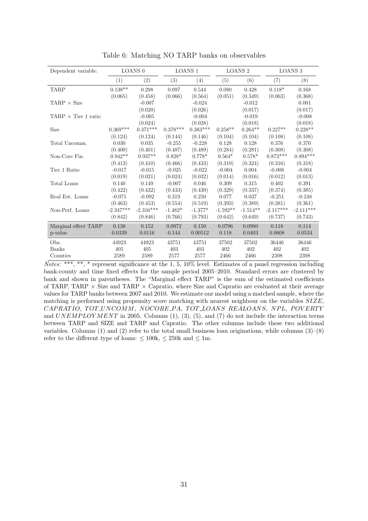| Dependent variable:        |             | LOANS <sub>0</sub> |            | <b>LOANS 1</b> | <b>LOANS 2</b> |            |             | <b>LOANS 3</b> |
|----------------------------|-------------|--------------------|------------|----------------|----------------|------------|-------------|----------------|
|                            | (1)         | (2)                | (3)        | (4)            | (5)            | (6)        | (7)         | (8)            |
| <b>TARP</b>                | $0.138**$   | 0.298              | 0.097      | 0.544          | 0.080          | 0.428      | $0.118*$    | 0.168          |
|                            | (0.065)     | (0.458)            | (0.066)    | (0.564)        | (0.051)        | (0.349)    | (0.063)     | (0.368)        |
| TARP $\times$ Size         |             | $-0.007$           |            | $-0.024$       |                | $-0.012$   |             | 0.001          |
|                            |             | (0.020)            |            | (0.026)        |                | (0.017)    |             | (0.017)        |
| $TARP \times Tier 1 ratio$ |             | $-0.005$           |            | $-0.004$       |                | $-0.019$   |             | $-0.008$       |
|                            |             | (0.024)            |            | (0.028)        |                | (0.018)    |             | (0.018)        |
| Size                       | $0.369***$  | $0.371***$         | $0.378***$ | $0.383***$     | $0.258**$      | $0.264**$  | $0.227**$   | $0.228**$      |
|                            | (0.124)     | (0.124)            | (0.144)    | (0.146)        | (0.104)        | (0.104)    | (0.108)     | (0.108)        |
| Total Uncomm.              | 0.030       | 0.035              | $-0.255$   | $-0.228$       | 0.128          | 0.128      | 0.376       | 0.370          |
|                            | (0.400)     | (0.401)            | (0.487)    | (0.489)        | (0.284)        | (0.281)    | (0.308)     | (0.308)        |
| Non-Core Fin.              | $0.942**$   | $0.937**$          | $0.828*$   | $0.778*$       | $0.564*$       | $0.578*$   | $0.873***$  | $0.894***$     |
|                            | (0.413)     | (0.410)            | (0.466)    | (0.433)        | (0.319)        | (0.324)    | (0.316)     | (0.318)        |
| Tier 1 Ratio               | $-0.017$    | $-0.015$           | $-0.025$   | $-0.022$       | $-0.004$       | 0.004      | $-0.008$    | $-0.004$       |
|                            | (0.019)     | (0.021)            | (0.024)    | (0.032)        | (0.014)        | (0.016)    | (0.012)     | (0.013)        |
| Total Loans                | 0.140       | 0.149              | $-0.007$   | 0.046          | 0.309          | 0.315      | 0.402       | 0.391          |
|                            | (0.422)     | (0.432)            | (0.433)    | (0.439)        | (0.329)        | (0.337)    | (0.374)     | (0.385)        |
| Real Est. Loans            | $-0.071$    | $-0.092$           | 0.319      | 0.250          | 0.077          | 0.037      | $-0.251$    | $-0.248$       |
|                            | (0.463)     | (0.453)            | (0.554)    | (0.519)        | (0.393)        | (0.389)    | (0.381)     | (0.361)        |
| Non-Perf. Loans            | $-2.347***$ | $-2.316***$        | $-1.482*$  | $-1.377*$      | $-1.592**$     | $-1.514**$ | $-2.117***$ | $-2.111***$    |
|                            | (0.842)     | (0.846)            | (0.766)    | (0.793)        | (0.642)        | (0.649)    | (0.737)     | (0.743)        |
| Marginal effect TARP       | 0.138       | 0.152              | 0.0972     | 0.150          | 0.0796         | 0.0980     | 0.118       | 0.114          |
| p-value                    | 0.0339      | 0.0116             | 0.144      | 0.00512        | 0.118          | 0.0403     | 0.0608      | 0.0534         |
| Obs.                       | 44923       | 44923              | 43751      | 43751          | 37502          | 37502      | 36446       | 36446          |
| <b>Banks</b>               | 405         | 405                | 403        | 403            | 402            | 402        | 402         | 402            |
| Counties                   | 2589        | 2589               | 2577       | 2577           | 2466           | 2466       | 2398        | 2398           |

Table 6: Matching NO TARP banks on observables

 $Notes: ***, **, *<sup>*</sup>,<sup>**</sup>,<sup>**</sup> represents a significant result, and the 1, 5, 10% level. Estimates of a panel regression including$ bank-county and time fixed effects for the sample period 2005–2010. Standard errors are clustered by bank and shown in parentheses. The "Marginal effect TARP" is the sum of the estimated coefficients of TARP, TARP  $\times$  Size and TARP  $\times$  Capratio, where Size and Capratio are evaluated at their average values for TARP banks between 2007 and 2010. We estimate our model using a matched sample, where the matching is performed using propensity score matching with nearest neighbour on the variables SIZE, CAPRATIO, TOT UNCOMM, NOCORE PA, TOT LOANS REALOANS, NPL, POVERTY and  $UNEMPLOYMENT$  in 2005. Columns  $(1), (3), (5),$  and  $(7)$  do not include the interaction terms between TARP and SIZE and TARP and Capratio. The other columns include these two additional variables. Columns (1) and (2) refer to the total small business loan originations, while columns  $(3)-(8)$ refer to the different type of loans:  $\leq 100k$ ,  $\leq 250k$  and  $\leq 1m$ .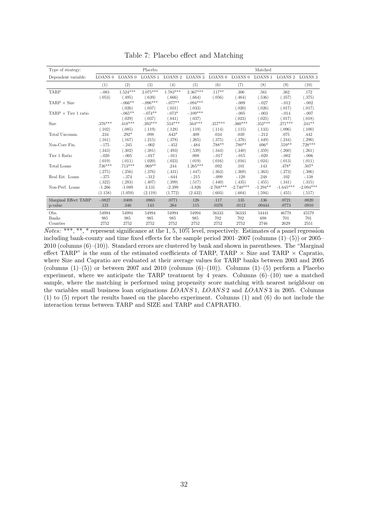| Type of strategy:                |                    |                        | Placebo            |            |                         |             |             | Matched            |                    |                    |
|----------------------------------|--------------------|------------------------|--------------------|------------|-------------------------|-------------|-------------|--------------------|--------------------|--------------------|
| Dependent variable:              | LOANS <sub>0</sub> | LOANS <sub>0</sub>     | LOANS <sub>1</sub> |            | LOANS 2 LOANS 3 LOANS 0 |             | LOANS 0     | LOANS <sub>1</sub> | LOANS <sub>2</sub> | LOANS <sub>3</sub> |
|                                  | (1)                | (2)                    | (3)                | (4)        | (5)                     | (6)         | (7)         | (8)                | (9)                | (10)               |
| <b>TARP</b>                      | $-.083$            | $1.524^{\ast\ast\ast}$ | $2.075***$         | $1.783***$ | $2.367***$              | $.117**$    | .306        | .561               | .362               | .172               |
|                                  | (.053)             | (.495)                 | (.639)             | (.666)     | (.664)                  | (.056)      | (.464)      | (.536)             | (.357)             | (.375)             |
| $\text{TARP} \times \text{Size}$ |                    | $-.066**$              | $-.096***$         | $-.077**$  | $-.094***$              |             | $-.009$     | $-.027$            | $-.012$            | $-.002$            |
|                                  |                    | (.026)                 | (.037)             | (.031)     | (.033)                  |             | (.020)      | (.026)             | (.017)             | (.017)             |
| TARP $\times$ Tier 1 ratio       |                    | $-.065**$              | $-.074**$          | $-.073*$   | $-.109***$              |             | $-.005$     | $-.003$            | $-.014$            | $-.007$            |
|                                  |                    | (.029)                 | (.037)             | (.041)     | (.037)                  |             | (.023)      | (.025)             | (.017)             | (.018)             |
| <b>Size</b>                      | $.376***$          | $.418***$              | .393***            | $.554***$  | $.564***$               | $.357***$   | $.360***$   | $.352***$          | $.271***$          | $.241**$           |
|                                  | (.102)             | (.085)                 | (.119)             | (.128)     | (.119)                  | (.114)      | (.115)      | (.133)             | (.096)             | (.100)             |
| Total Uncomm.                    | .234               | $.292*$                | .098               | $.643*$    | .409                    | .034        | .039        | $-.212$            | .075               | .442               |
|                                  | (.161)             | (.167)                 | (.215)             | (.378)     | (.265)                  | (.375)      | (.376)      | (.449)             | (.244)             | (.290)             |
| Non-Core Fin.                    | $-.175$            | $-.245$                | $-.002$            | $-.452$    | $-.484$                 | .788**      | $.780**$    | $.696*$            | $.559**$           | $.728***$          |
|                                  | (.343)             | (.302)                 | (.381)             | (.493)     | (.539)                  | (.344)      | (.340)      | (.359)             | (.260)             | (.261)             |
| Tier 1 Ratio                     | $-.020$            | $-.005$                | $-.017$            | $-.011$    | .008                    | $-.017$     | $-.015$     | $-.020$            | $-.002$            | $-.006$            |
|                                  | (.019)             | (.011)                 | (.020)             | (.023)     | (.019)                  | (.016)      | (.016)      | (.024)             | (.013)             | (.011)             |
| Total Loans                      | $.736***$          | $.713***$              | $.969**$           | .244       | $1.265***$              | .092        | .101        | .143               | .478*              | $.507*$            |
|                                  | (.275)             | (.256)                 | (.376)             | (.431)     | (.447)                  | (.363)      | (.369)      | (.363)             | (.273)             | (.306)             |
| Real Est. Loans                  | $-375$             | $-.374$                | $-312$             | $-.644$    | $-.215$                 | $-.099$     | $-.120$     | .248               | .102               | $-.138$            |
|                                  | (.322)             | (.283)                 | (.407)             | (.399)     | (.517)                  | (.440)      | (.435)      | (.455)             | (.341)             | (.315)             |
| Non-Perf. Loans                  | $-1.266$           | $-1.089$               | 3.131              | $-2.399$   | $-3.826$                | $-2.768***$ | $-2.740***$ | $-1.294**$         | $-1.645***$        | $-2.094***$        |
|                                  | (1.158)            | (1.059)                | (2.119)            | (1.772)    | (2.432)                 | (.603)      | (.604)      | (.594)             | (.455)             | (.517)             |
| Marginal Effect TARP             | $-.0827$           | .0408                  | .0865              | .0771      | .126                    | .117        | .135        | .136               | .0721              | .0820              |
| p-value                          | .121               | .346                   | .143               | .264       | .115                    | .0376       | .0112       | .00444             | .0773              | .0910              |
| Obs.                             | 54994              | 54994                  | 54994              | 54994      | 54994                   | 56333       | 56333       | 54441              | 46778              | 45579              |
| Banks                            | 985                | 985                    | 985                | 985        | 985                     | 702         | 702         | 698                | 701                | 701                |
| Counties                         | 2752               | 2752                   | 2752               | 2752       | 2752                    | 2752        | 2752        | 2746               | 2629               | 2551               |

Table 7: Placebo effect and Matching

 $Notes:$  \*\*\*, \*\*, \* represent significance at the 1, 5, 10% level, respectively. Estimates of a panel regression including bank-county and time fixed effects for the sample period  $2001-2007$  (columns  $(1)-(5)$ ) or  $2005-$ 2010 (columns (6)–(10)). Standard errors are clustered by bank and shown in parentheses. The "Marginal effect TARP" is the sum of the estimated coefficients of TARP, TARP  $\times$  Size and TARP  $\times$  Capratio, where Size and Capratio are evaluated at their average values for TARP banks between 2003 and 2005 (columns  $(1)$ –(5)) or between 2007 and 2010 (columns  $(6)$ –(10)). Columns  $(1)$ –(5) perform a Placebo experiment, where we anticipate the TARP treatment by 4 years. Columns  $(6)-(10)$  use a matched sample, where the matching is performed using propensity score matching with nearest neighbour on the variables small business loan originations LOANS 1, LOANS 2 and LOANS 3 in 2005. Columns (1) to (5) report the results based on the placebo experiment. Columns (1) and (6) do not include the interaction terms between TARP and SIZE and TARP and CAPRATIO.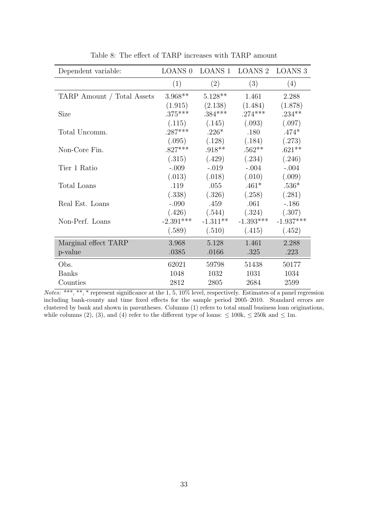| Dependent variable:        | <b>LOANS 0</b> |            | LOANS 1 LOANS 2 | LOANS 3     |
|----------------------------|----------------|------------|-----------------|-------------|
|                            | (1)            | (2)        | (3)             | (4)         |
| TARP Amount / Total Assets | $3.968**$      | $5.128**$  | 1.461           | 2.288       |
|                            | (1.915)        | (2.138)    | (1.484)         | (1.878)     |
| <b>Size</b>                | $.375***$      | $.384***$  | $.274***$       | $.234***$   |
|                            | (.115)         | (.145)     | (.093)          | (.097)      |
| Total Uncomm.              | $.287***$      | $.226*$    | .180            | $.474*$     |
|                            | (.095)         | (.128)     | (.184)          | (.273)      |
| Non-Core Fin.              | $.827***$      | $.918**$   | $.562**$        | $.621**$    |
|                            | (.315)         | (.429)     | (.234)          | (.246)      |
| Tier 1 Ratio               | $-.009$        | $-.019$    | $-.004$         | $-.004$     |
|                            | (.013)         | (.018)     | (.010)          | (.009)      |
| Total Loans                | .119           | .055       | $.461*$         | $.536*$     |
|                            | (.338)         | (.326)     | (.258)          | (.281)      |
| Real Est. Loans            | $-.090$        | .459       | .061            | $-.186$     |
|                            | (.426)         | (.544)     | (.324)          | (.307)      |
| Non-Perf. Loans            | $-2.391***$    | $-1.311**$ | $-1.393***$     | $-1.937***$ |
|                            | (.589)         | (.510)     | (.415)          | (.452)      |
| Marginal effect TARP       | 3.968          | 5.128      | 1.461           | 2.288       |
| p-value                    | .0385          | .0166      | .325            | .223        |
| Obs.                       | 62021          | 59798      | 51438           | 50177       |
| <b>Banks</b>               | 1048           | 1032       | 1031            | 1034        |
| Counties                   | 2812           | 2805       | 2684            | 2599        |

Table 8: The effect of TARP increases with TARP amount

 $Notes: ***, **, *<sub>1</sub> represents a significant value of the 1, 5, 10% level, respectively. Estimates of a panel regression$ including bank-county and time fixed effects for the sample period 2005–2010. Standard errors are clustered by bank and shown in parentheses. Columns (1) refers to total small business loan originations, while columns (2), (3), and (4) refer to the different type of loans:  $\leq 100k$ ,  $\leq 250k$  and  $\leq 1m$ .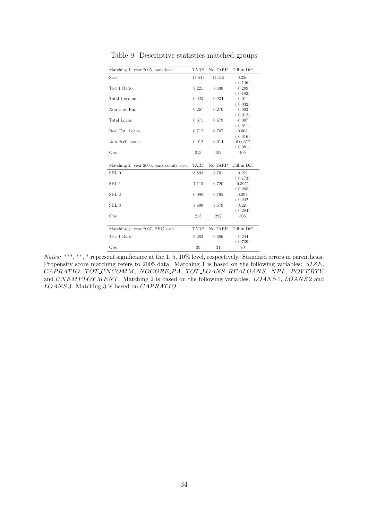| Matching 1: year 2005, bank level        | TARP   | No TARP | Diff in Diff |
|------------------------------------------|--------|---------|--------------|
| Size                                     | 14.641 | 14.415  | 0.226        |
|                                          |        |         | (0.146)      |
| Tier 1 Ratio                             | 8.221  | 8.430   | $-0.209$     |
|                                          |        |         | (0.182)      |
| Total Uncomm.                            | 0.223  | 0.234   | $-0.011$     |
|                                          |        |         | (0.032)      |
| Non-Core Fin.                            | 0.267  | 0.270   | $-0.003$     |
|                                          |        |         | (0.012)      |
| Total Loans                              | 0.671  | 0.679   | $-0.007$     |
|                                          |        |         | (0.011)      |
| Real Est. Loans                          | 0.712  | 0.707   | 0.005        |
|                                          |        |         | (0.016)      |
| Non-Perf. Loans                          | 0.012  | 0.014   | $-0.003***$  |
|                                          |        |         | (0.001)      |
| Obs.                                     | 213    | 192     | 405          |
| Matching 2: year 2005, bank-county level | TARP   | No TARP | Diff in Diff |
| SBL0                                     | 8.893  | 8.701   | 0.192        |
|                                          |        |         | (0.173)      |
| SBL 1                                    | 7.115  | 6.720   | $0.395*$     |
|                                          |        |         | (0.205)      |
| SBL <sub>2</sub>                         | 6.998  | 6.795   | 0.204        |
|                                          |        |         | (0.242)      |
| SBL <sub>3</sub>                         | 7.699  | 7.579   | 0.120        |
|                                          |        |         | (0.284)      |
| Obs.                                     | 213    | 292     | 505          |
| Matching 3: year 2007, BHC level         | TARP   | No TARP | Diff in Diff |
|                                          |        |         |              |
| Tier 1 Ratio                             | 9.262  | 9.506   | $-0.244$     |
|                                          |        |         | (0.739)      |
| Obs.                                     | 39     | 31      | 70           |

Table 9: Descriptive statistics matched groups

Notes: \*\*\*, \*\*, \* represent significance at the 1, 5, 10% level, respectively. Standard errors in parenthesis. Propensity score matching refers to 2005 data. Matching 1 is based on the following variables:  $SIZE$ , CAPRATIO, TOT UNCOMM, NOCORE PA, TOT LOANS REALOANS, NPL, POVERTY and UNEMPLOYMENT. Matching 2 is based on the following variables: LOANS 1, LOANS 2 and LOANS 3. Matching 3 is based on CAPRATIO.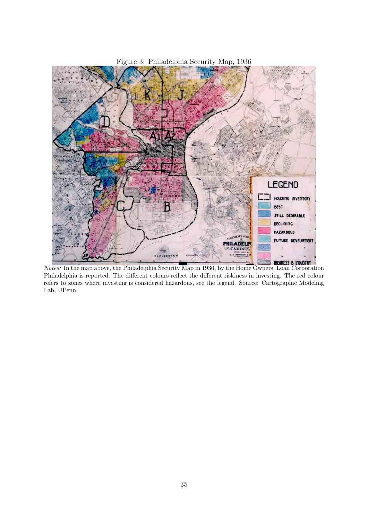

Notes: In the map above, the Philadelphia Security Map in 1936, by the Home Owners' Loan Corporation Philadelphia is reported. The different colours reflect the different riskiness in investing. The red colour refers to zones where investing is considered hazardous, see the legend. Source: Cartographic Modeling Lab, UPenn.